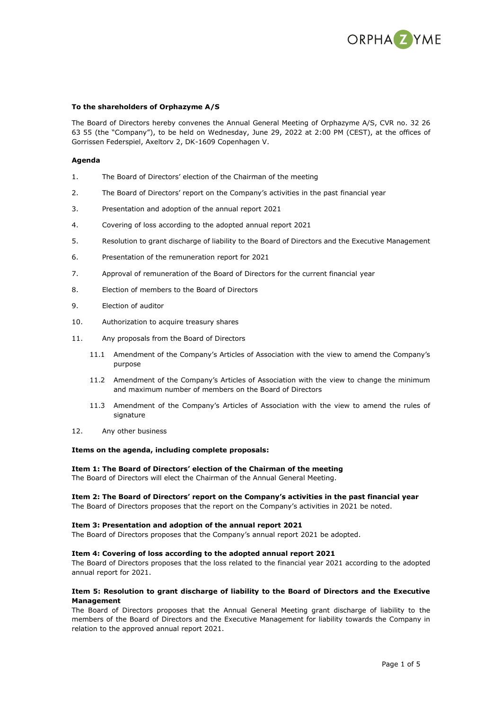

## **To the shareholders of Orphazyme A/S**

The Board of Directors hereby convenes the Annual General Meeting of Orphazyme A/S, CVR no. 32 26 63 55 (the "Company"), to be held on Wednesday, June 29, 2022 at 2:00 PM (CEST), at the offices of Gorrissen Federspiel, Axeltorv 2, DK-1609 Copenhagen V.

## **Agenda**

- 1. The Board of Directors' election of the Chairman of the meeting
- 2. The Board of Directors' report on the Company's activities in the past financial year
- 3. Presentation and adoption of the annual report 2021
- 4. Covering of loss according to the adopted annual report 2021
- 5. Resolution to grant discharge of liability to the Board of Directors and the Executive Management
- 6. Presentation of the remuneration report for 2021
- 7. Approval of remuneration of the Board of Directors for the current financial year
- 8. Election of members to the Board of Directors
- 9. Election of auditor
- 10. Authorization to acquire treasury shares
- 11. Any proposals from the Board of Directors
	- 11.1 Amendment of the Company's Articles of Association with the view to amend the Company's purpose
	- 11.2 Amendment of the Company's Articles of Association with the view to change the minimum and maximum number of members on the Board of Directors
	- 11.3 Amendment of the Company's Articles of Association with the view to amend the rules of signature
- 12. Any other business

### **Items on the agenda, including complete proposals:**

### **Item 1: The Board of Directors' election of the Chairman of the meeting**

The Board of Directors will elect the Chairman of the Annual General Meeting.

### **Item 2: The Board of Directors' report on the Company's activities in the past financial year**

The Board of Directors proposes that the report on the Company's activities in 2021 be noted.

### **Item 3: Presentation and adoption of the annual report 2021**

The Board of Directors proposes that the Company's annual report 2021 be adopted.

# **Item 4: Covering of loss according to the adopted annual report 2021**

The Board of Directors proposes that the loss related to the financial year 2021 according to the adopted annual report for 2021.

# **Item 5: Resolution to grant discharge of liability to the Board of Directors and the Executive Management**

The Board of Directors proposes that the Annual General Meeting grant discharge of liability to the members of the Board of Directors and the Executive Management for liability towards the Company in relation to the approved annual report 2021.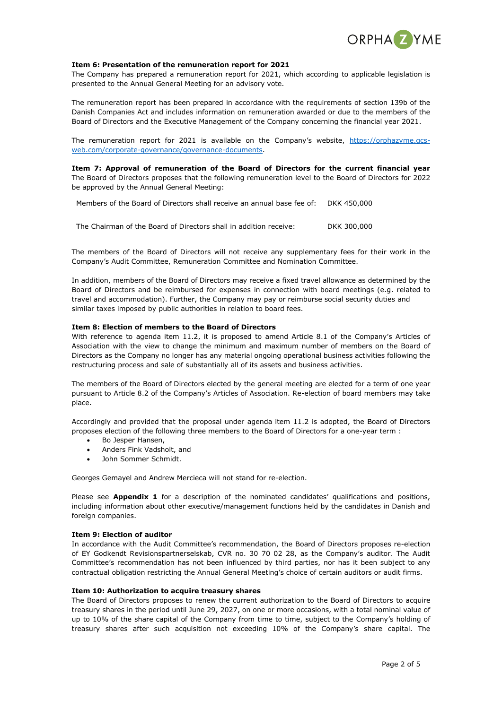

## **Item 6: Presentation of the remuneration report for 2021**

The Company has prepared a remuneration report for 2021, which according to applicable legislation is presented to the Annual General Meeting for an advisory vote.

The remuneration report has been prepared in accordance with the requirements of section 139b of the Danish Companies Act and includes information on remuneration awarded or due to the members of the Board of Directors and the Executive Management of the Company concerning the financial year 2021.

The remuneration report for 2021 is available on the Company's website, [https://orphazyme.gcs](https://orphazyme.gcs-web.com/corporate-governance/governance-documents)[web.com/corporate-governance/governance-documents.](https://orphazyme.gcs-web.com/corporate-governance/governance-documents)

**Item 7: Approval of remuneration of the Board of Directors for the current financial year** The Board of Directors proposes that the following remuneration level to the Board of Directors for 2022 be approved by the Annual General Meeting:

Members of the Board of Directors shall receive an annual base fee of: DKK 450,000

The Chairman of the Board of Directors shall in addition receive: DKK 300,000

The members of the Board of Directors will not receive any supplementary fees for their work in the Company's Audit Committee, Remuneration Committee and Nomination Committee.

In addition, members of the Board of Directors may receive a fixed travel allowance as determined by the Board of Directors and be reimbursed for expenses in connection with board meetings (e.g. related to travel and accommodation). Further, the Company may pay or reimburse social security duties and similar taxes imposed by public authorities in relation to board fees.

## **Item 8: Election of members to the Board of Directors**

With reference to agenda item 11.2, it is proposed to amend Article 8.1 of the Company's Articles of Association with the view to change the minimum and maximum number of members on the Board of Directors as the Company no longer has any material ongoing operational business activities following the restructuring process and sale of substantially all of its assets and business activities.

The members of the Board of Directors elected by the general meeting are elected for a term of one year pursuant to Article 8.2 of the Company's Articles of Association. Re-election of board members may take place.

Accordingly and provided that the proposal under agenda item 11.2 is adopted, the Board of Directors proposes election of the following three members to the Board of Directors for a one-year term :

- Bo Jesper Hansen,
- Anders Fink Vadsholt, and
- John Sommer Schmidt.

Georges Gemayel and Andrew Mercieca will not stand for re-election.

Please see **Appendix 1** for a description of the nominated candidates' qualifications and positions, including information about other executive/management functions held by the candidates in Danish and foreign companies.

### **Item 9: Election of auditor**

In accordance with the Audit Committee's recommendation, the Board of Directors proposes re-election of EY Godkendt Revisionspartnerselskab, CVR no. 30 70 02 28, as the Company's auditor. The Audit Committee's recommendation has not been influenced by third parties, nor has it been subject to any contractual obligation restricting the Annual General Meeting's choice of certain auditors or audit firms.

### **Item 10: Authorization to acquire treasury shares**

The Board of Directors proposes to renew the current authorization to the Board of Directors to acquire treasury shares in the period until June 29, 2027, on one or more occasions, with a total nominal value of up to 10% of the share capital of the Company from time to time, subject to the Company's holding of treasury shares after such acquisition not exceeding 10% of the Company's share capital. The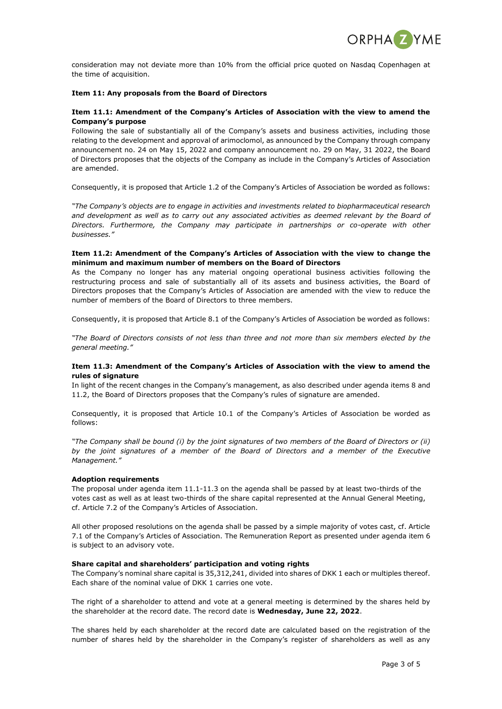

consideration may not deviate more than 10% from the official price quoted on Nasdaq Copenhagen at the time of acquisition.

## **Item 11: Any proposals from the Board of Directors**

# **Item 11.1: Amendment of the Company's Articles of Association with the view to amend the Company's purpose**

Following the sale of substantially all of the Company's assets and business activities, including those relating to the development and approval of arimoclomol, as announced by the Company through company announcement no. 24 on May 15, 2022 and company announcement no. 29 on May, 31 2022, the Board of Directors proposes that the objects of the Company as include in the Company's Articles of Association are amended.

Consequently, it is proposed that Article 1.2 of the Company's Articles of Association be worded as follows:

*"The Company's objects are to engage in activities and investments related to biopharmaceutical research and development as well as to carry out any associated activities as deemed relevant by the Board of Directors. Furthermore, the Company may participate in partnerships or co-operate with other businesses."*

## **Item 11.2: Amendment of the Company's Articles of Association with the view to change the minimum and maximum number of members on the Board of Directors**

As the Company no longer has any material ongoing operational business activities following the restructuring process and sale of substantially all of its assets and business activities, the Board of Directors proposes that the Company's Articles of Association are amended with the view to reduce the number of members of the Board of Directors to three members.

Consequently, it is proposed that Article 8.1 of the Company's Articles of Association be worded as follows:

*"The Board of Directors consists of not less than three and not more than six members elected by the general meeting."*

# **Item 11.3: Amendment of the Company's Articles of Association with the view to amend the rules of signature**

In light of the recent changes in the Company's management, as also described under agenda items 8 and 11.2, the Board of Directors proposes that the Company's rules of signature are amended.

Consequently, it is proposed that Article 10.1 of the Company's Articles of Association be worded as follows:

*"The Company shall be bound (i) by the joint signatures of two members of the Board of Directors or (ii) by the joint signatures of a member of the Board of Directors and a member of the Executive Management."*

# **Adoption requirements**

The proposal under agenda item 11.1-11.3 on the agenda shall be passed by at least two-thirds of the votes cast as well as at least two-thirds of the share capital represented at the Annual General Meeting, cf. Article 7.2 of the Company's Articles of Association.

All other proposed resolutions on the agenda shall be passed by a simple majority of votes cast, cf. Article 7.1 of the Company's Articles of Association. The Remuneration Report as presented under agenda item 6 is subject to an advisory vote.

# **Share capital and shareholders' participation and voting rights**

The Company's nominal share capital is 35,312,241, divided into shares of DKK 1 each or multiples thereof. Each share of the nominal value of DKK 1 carries one vote.

The right of a shareholder to attend and vote at a general meeting is determined by the shares held by the shareholder at the record date. The record date is **Wednesday, June 22, 2022**.

The shares held by each shareholder at the record date are calculated based on the registration of the number of shares held by the shareholder in the Company's register of shareholders as well as any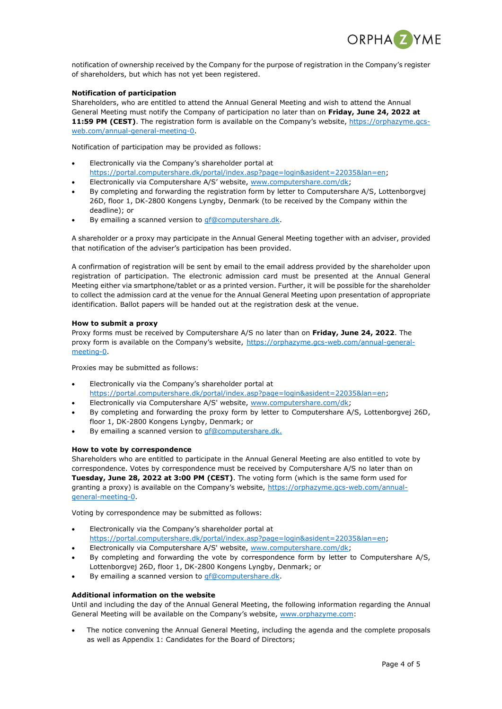

notification of ownership received by the Company for the purpose of registration in the Company's register of shareholders, but which has not yet been registered.

# **Notification of participation**

Shareholders, who are entitled to attend the Annual General Meeting and wish to attend the Annual General Meeting must notify the Company of participation no later than on **Friday, June 24, 2022 at**  11:59 PM (CEST). The registration form is available on the Company's website, [https://orphazyme.gcs](https://orphazyme.gcs-web.com/annual-general-meeting-0)[web.com/annual-general-meeting-0.](https://orphazyme.gcs-web.com/annual-general-meeting-0)

Notification of participation may be provided as follows:

- Electronically via the Company's shareholder portal at
- [https://portal.computershare.dk/portal/index.asp?page=login&asident=22035&lan=en;](https://portal.computershare.dk/portal/index.asp?page=login&asident=22035&lan=en)
- Electronically via Computershare A/S' website, [www.computershare.com/dk;](http://www.computershare.com/dk)
- By completing and forwarding the registration form by letter to Computershare A/S, Lottenborgvej 26D, floor 1, DK-2800 Kongens Lyngby, Denmark (to be received by the Company within the deadline); or
- By emailing a scanned version to [gf@computershare.dk.](mailto:gf@computershare.dk)

A shareholder or a proxy may participate in the Annual General Meeting together with an adviser, provided that notification of the adviser's participation has been provided.

A confirmation of registration will be sent by email to the email address provided by the shareholder upon registration of participation. The electronic admission card must be presented at the Annual General Meeting either via smartphone/tablet or as a printed version. Further, it will be possible for the shareholder to collect the admission card at the venue for the Annual General Meeting upon presentation of appropriate identification. Ballot papers will be handed out at the registration desk at the venue.

# **How to submit a proxy**

Proxy forms must be received by Computershare A/S no later than on **Friday, June 24, 2022**. The proxy form is available on the Company's website, [https://orphazyme.gcs-web.com/annual-general](https://orphazyme.gcs-web.com/annual-general-meeting-0)[meeting-0.](https://orphazyme.gcs-web.com/annual-general-meeting-0)

Proxies may be submitted as follows:

- Electronically via the Company's shareholder portal at [https://portal.computershare.dk/portal/index.asp?page=login&asident=22035&lan=en;](https://portal.computershare.dk/portal/index.asp?page=login&asident=22035&lan=en)
- Electronically via Computershare A/S' website, [www.computershare.com/dk;](http://www.computershare.com/dk)
- By completing and forwarding the proxy form by letter to Computershare A/S, Lottenborgvej 26D, floor 1, DK-2800 Kongens Lyngby, Denmark; or
- By emailing a scanned version to **gf@computershare.dk.**

# **How to vote by correspondence**

Shareholders who are entitled to participate in the Annual General Meeting are also entitled to vote by correspondence. Votes by correspondence must be received by Computershare A/S no later than on **Tuesday, June 28, 2022 at 3:00 PM (CEST)**. The voting form (which is the same form used for granting a proxy) is available on the Company's website, [https://orphazyme.gcs-web.com/annual](https://orphazyme.gcs-web.com/annual-general-meeting-0)[general-meeting-0.](https://orphazyme.gcs-web.com/annual-general-meeting-0)

Voting by correspondence may be submitted as follows:

- Electronically via the Company's shareholder portal at [https://portal.computershare.dk/portal/index.asp?page=login&asident=22035&lan=en;](https://portal.computershare.dk/portal/index.asp?page=login&asident=22035&lan=en)
- Electronically via Computershare A/S' website, [www.computershare.com/dk;](http://www.computershare.com/dk)
- By completing and forwarding the vote by correspondence form by letter to Computershare A/S, Lottenborgvej 26D, floor 1, DK-2800 Kongens Lyngby, Denmark; or
- By emailing a scanned version to [gf@computershare.dk.](mailto:gf@computershare.dk)

# **Additional information on the website**

Until and including the day of the Annual General Meeting, the following information regarding the Annual General Meeting will be available on the Company's website, [www.orphazyme.com:](http://www.orphazyme.com/)

 The notice convening the Annual General Meeting, including the agenda and the complete proposals as well as Appendix 1: Candidates for the Board of Directors;